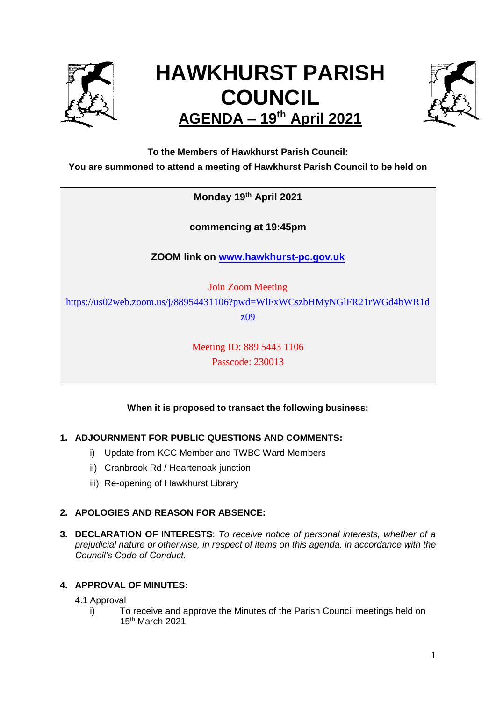

# **HAWKHURST PARISH COUNCIL AGENDA – 19th April 2021**



**To the Members of Hawkhurst Parish Council:**

**You are summoned to attend a meeting of Hawkhurst Parish Council to be held on**

# **Monday 19 th April 2021**

**commencing at 19:45pm**

**ZOOM link on [www.hawkhurst-pc.gov.uk](http://www.hawkhurst-pc.gov.uk/)**

Join Zoom Meeting

[https://us02web.zoom.us/j/88954431106?pwd=WlFxWCszbHMyNGlFR21rWGd4bWR1d](https://us02web.zoom.us/j/88954431106?pwd=WlFxWCszbHMyNGlFR21rWGd4bWR1dz09)

[z09](https://us02web.zoom.us/j/88954431106?pwd=WlFxWCszbHMyNGlFR21rWGd4bWR1dz09)

Meeting ID: 889 5443 1106 Passcode: 230013

# **When it is proposed to transact the following business:**

# **1. ADJOURNMENT FOR PUBLIC QUESTIONS AND COMMENTS:**

- i) Update from KCC Member and TWBC Ward Members
- ii) Cranbrook Rd / Heartenoak junction
- iii) Re-opening of Hawkhurst Library

# **2. APOLOGIES AND REASON FOR ABSENCE:**

**3. DECLARATION OF INTERESTS**: *To receive notice of personal interests, whether of a prejudicial nature or otherwise, in respect of items on this agenda, in accordance with the Council's Code of Conduct.*

# **4. APPROVAL OF MINUTES:**

4.1 Approval

i) To receive and approve the Minutes of the Parish Council meetings held on 15th March 2021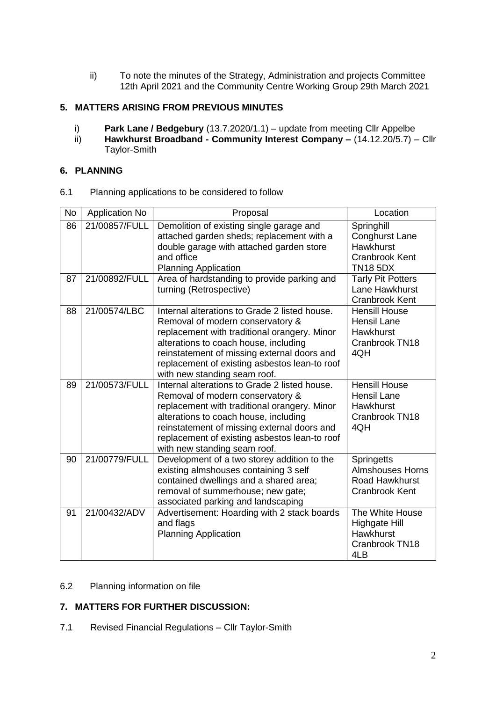ii) To note the minutes of the Strategy, Administration and projects Committee 12th April 2021 and the Community Centre Working Group 29th March 2021

## **5. MATTERS ARISING FROM PREVIOUS MINUTES**

- i) **Park Lane / Bedgebury** (13.7.2020/1.1) update from meeting Cllr Appelbe
- ii) **Hawkhurst Broadband - Community Interest Company –** (14.12.20/5.7) Cllr Taylor-Smith

#### **6. PLANNING**

6.1 Planning applications to be considered to follow

| <b>No</b> | <b>Application No</b> | Proposal                                                                                                                                                                                                                                                                                                   | Location                                                                                            |
|-----------|-----------------------|------------------------------------------------------------------------------------------------------------------------------------------------------------------------------------------------------------------------------------------------------------------------------------------------------------|-----------------------------------------------------------------------------------------------------|
| 86        | 21/00857/FULL         | Demolition of existing single garage and<br>attached garden sheds; replacement with a<br>double garage with attached garden store<br>and office<br><b>Planning Application</b>                                                                                                                             | Springhill<br><b>Conghurst Lane</b><br><b>Hawkhurst</b><br><b>Cranbrook Kent</b><br><b>TN18 5DX</b> |
| 87        | 21/00892/FULL         | Area of hardstanding to provide parking and<br>turning (Retrospective)                                                                                                                                                                                                                                     | <b>Tarly Pit Potters</b><br>Lane Hawkhurst<br><b>Cranbrook Kent</b>                                 |
| 88        | 21/00574/LBC          | Internal alterations to Grade 2 listed house.<br>Removal of modern conservatory &<br>replacement with traditional orangery. Minor<br>alterations to coach house, including<br>reinstatement of missing external doors and<br>replacement of existing asbestos lean-to roof<br>with new standing seam roof. | <b>Hensill House</b><br><b>Hensil Lane</b><br><b>Hawkhurst</b><br>Cranbrook TN18<br>4QH             |
| 89        | 21/00573/FULL         | Internal alterations to Grade 2 listed house.<br>Removal of modern conservatory &<br>replacement with traditional orangery. Minor<br>alterations to coach house, including<br>reinstatement of missing external doors and<br>replacement of existing asbestos lean-to roof<br>with new standing seam roof. | <b>Hensill House</b><br><b>Hensil Lane</b><br>Hawkhurst<br>Cranbrook TN18<br>4QH                    |
| 90        | 21/00779/FULL         | Development of a two storey addition to the<br>existing almshouses containing 3 self<br>contained dwellings and a shared area;<br>removal of summerhouse; new gate;<br>associated parking and landscaping                                                                                                  | <b>Springetts</b><br><b>Almshouses Horns</b><br>Road Hawkhurst<br><b>Cranbrook Kent</b>             |
| 91        | 21/00432/ADV          | Advertisement: Hoarding with 2 stack boards<br>and flags<br><b>Planning Application</b>                                                                                                                                                                                                                    | The White House<br><b>Highgate Hill</b><br>Hawkhurst<br>Cranbrook TN18<br>4LB                       |

#### 6.2 Planning information on file

## **7. MATTERS FOR FURTHER DISCUSSION:**

7.1 Revised Financial Regulations – Cllr Taylor-Smith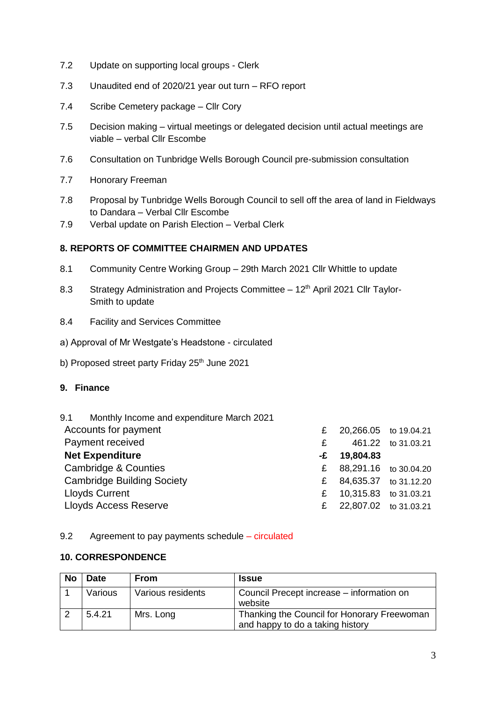- 7.2 Update on supporting local groups Clerk
- 7.3 Unaudited end of 2020/21 year out turn RFO report
- 7.4 Scribe Cemetery package Cllr Cory
- 7.5 Decision making virtual meetings or delegated decision until actual meetings are viable – verbal Cllr Escombe
- 7.6 Consultation on Tunbridge Wells Borough Council pre-submission consultation
- 7.7 Honorary Freeman
- 7.8 Proposal by Tunbridge Wells Borough Council to sell off the area of land in Fieldways to Dandara – Verbal Cllr Escombe
- 7.9 Verbal update on Parish Election Verbal Clerk

## **8. REPORTS OF COMMITTEE CHAIRMEN AND UPDATES**

- 8.1 Community Centre Working Group 29th March 2021 Cllr Whittle to update
- 8.3 Strategy Administration and Projects Committee 12<sup>th</sup> April 2021 Cllr Taylor-Smith to update
- 8.4 Facility and Services Committee
- a) Approval of Mr Westgate's Headstone circulated
- b) Proposed street party Friday 25<sup>th</sup> June 2021

#### **9. Finance**

| 9.1 Monthly Income and expenditure March 2021 |   |                       |                    |
|-----------------------------------------------|---|-----------------------|--------------------|
| Accounts for payment                          | £ | 20,266.05 to 19.04.21 |                    |
| Payment received                              | £ |                       | 461.22 to 31.03.21 |
| <b>Net Expenditure</b>                        |   | $-E$ 19,804.83        |                    |
| Cambridge & Counties                          | £ | 88,291.16 to 30.04.20 |                    |
| <b>Cambridge Building Society</b>             | £ | 84,635.37 to 31.12.20 |                    |
| <b>Lloyds Current</b>                         | £ | 10,315.83 to 31.03.21 |                    |
| Lloyds Access Reserve                         |   | 22,807.02 to 31.03.21 |                    |

#### 9.2 Agreement to pay payments schedule – circulated

#### **10. CORRESPONDENCE**

| <b>No</b> | <b>Date</b> | <b>From</b>       | <b>Issue</b>                                                                    |
|-----------|-------------|-------------------|---------------------------------------------------------------------------------|
|           | Various     | Various residents | Council Precept increase – information on<br>website                            |
|           | 5.4.21      | Mrs. Long         | Thanking the Council for Honorary Freewoman<br>and happy to do a taking history |